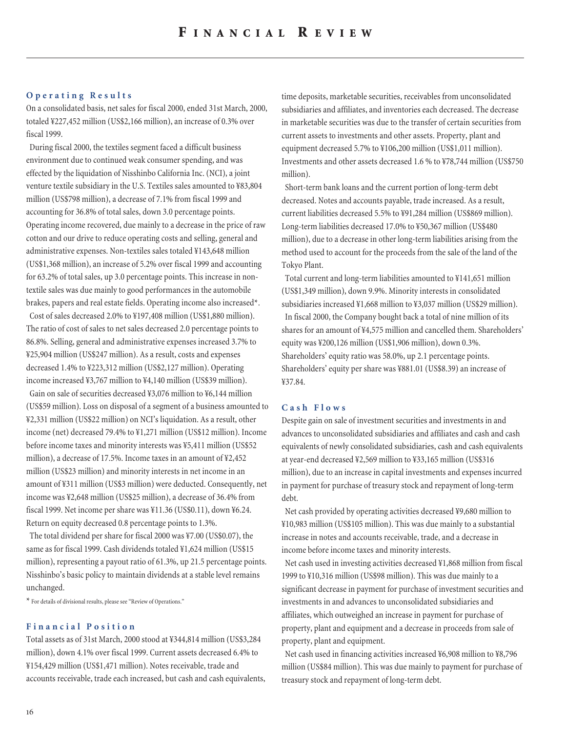### **Operating Results**

On a consolidated basis, net sales for fiscal 2000, ended 31st March, 2000, totaled ¥227,452 million (US\$2,166 million), an increase of 0.3% over fiscal 1999.

During fiscal 2000, the textiles segment faced a difficult business environment due to continued weak consumer spending, and was effected by the liquidation of Nisshinbo California Inc. (NCI), a joint venture textile subsidiary in the U.S. Textiles sales amounted to ¥83,804 million (US\$798 million), a decrease of 7.1% from fiscal 1999 and accounting for 36.8% of total sales, down 3.0 percentage points. Operating income recovered, due mainly to a decrease in the price of raw cotton and our drive to reduce operating costs and selling, general and administrative expenses. Non-textiles sales totaled ¥143,648 million (US\$1,368 million), an increase of 5.2% over fiscal 1999 and accounting for 63.2% of total sales, up 3.0 percentage points. This increase in nontextile sales was due mainly to good performances in the automobile brakes, papers and real estate fields. Operating income also increased\*.

Cost of sales decreased 2.0% to ¥197,408 million (US\$1,880 million). The ratio of cost of sales to net sales decreased 2.0 percentage points to 86.8%. Selling, general and administrative expenses increased 3.7% to ¥25,904 million (US\$247 million). As a result, costs and expenses decreased 1.4% to ¥223,312 million (US\$2,127 million). Operating income increased ¥3,767 million to ¥4,140 million (US\$39 million).

Gain on sale of securities decreased ¥3,076 million to ¥6,144 million (US\$59 million). Loss on disposal of a segment of a business amounted to ¥2,331 million (US\$22 million) on NCI's liquidation. As a result, other income (net) decreased 79.4% to ¥1,271 million (US\$12 million). Income before income taxes and minority interests was ¥5,411 million (US\$52 million), a decrease of 17.5%. Income taxes in an amount of ¥2,452 million (US\$23 million) and minority interests in net income in an amount of ¥311 million (US\$3 million) were deducted. Consequently, net income was ¥2,648 million (US\$25 million), a decrease of 36.4% from fiscal 1999. Net income per share was ¥11.36 (US\$0.11), down ¥6.24. Return on equity decreased 0.8 percentage points to 1.3%.

The total dividend per share for fiscal 2000 was ¥7.00 (US\$0.07), the same as for fiscal 1999. Cash dividends totaled ¥1,624 million (US\$15 million), representing a payout ratio of 61.3%, up 21.5 percentage points. Nisshinbo's basic policy to maintain dividends at a stable level remains unchanged.

\* For details of divisional results, please see "Review of Operations."

## **Financial Position**

Total assets as of 31st March, 2000 stood at ¥344,814 million (US\$3,284 million), down 4.1% over fiscal 1999. Current assets decreased 6.4% to ¥154,429 million (US\$1,471 million). Notes receivable, trade and accounts receivable, trade each increased, but cash and cash equivalents, time deposits, marketable securities, receivables from unconsolidated subsidiaries and affiliates, and inventories each decreased. The decrease in marketable securities was due to the transfer of certain securities from current assets to investments and other assets. Property, plant and equipment decreased 5.7% to ¥106,200 million (US\$1,011 million). Investments and other assets decreased 1.6 % to ¥78,744 million (US\$750 million).

Short-term bank loans and the current portion of long-term debt decreased. Notes and accounts payable, trade increased. As a result, current liabilities decreased 5.5% to ¥91,284 million (US\$869 million). Long-term liabilities decreased 17.0% to ¥50,367 million (US\$480 million), due to a decrease in other long-term liabilities arising from the method used to account for the proceeds from the sale of the land of the Tokyo Plant.

Total current and long-term liabilities amounted to ¥141,651 million (US\$1,349 million), down 9.9%. Minority interests in consolidated subsidiaries increased ¥1,668 million to ¥3,037 million (US\$29 million). In fiscal 2000, the Company bought back a total of nine million of its shares for an amount of ¥4,575 million and cancelled them. Shareholders' equity was ¥200,126 million (US\$1,906 million), down 0.3%. Shareholders' equity ratio was 58.0%, up 2.1 percentage points. Shareholders' equity per share was ¥881.01 (US\$8.39) an increase of ¥37.84.

## **Cash Flows**

Despite gain on sale of investment securities and investments in and advances to unconsolidated subsidiaries and affiliates and cash and cash equivalents of newly consolidated subsidiaries, cash and cash equivalents at year-end decreased ¥2,569 million to ¥33,165 million (US\$316 million), due to an increase in capital investments and expenses incurred in payment for purchase of treasury stock and repayment of long-term debt.

Net cash provided by operating activities decreased ¥9,680 million to ¥10,983 million (US\$105 million). This was due mainly to a substantial increase in notes and accounts receivable, trade, and a decrease in income before income taxes and minority interests.

Net cash used in investing activities decreased ¥1,868 million from fiscal 1999 to ¥10,316 million (US\$98 million). This was due mainly to a significant decrease in payment for purchase of investment securities and investments in and advances to unconsolidated subsidiaries and affiliates, which outweighed an increase in payment for purchase of property, plant and equipment and a decrease in proceeds from sale of property, plant and equipment.

Net cash used in financing activities increased ¥6,908 million to ¥8,796 million (US\$84 million). This was due mainly to payment for purchase of treasury stock and repayment of long-term debt.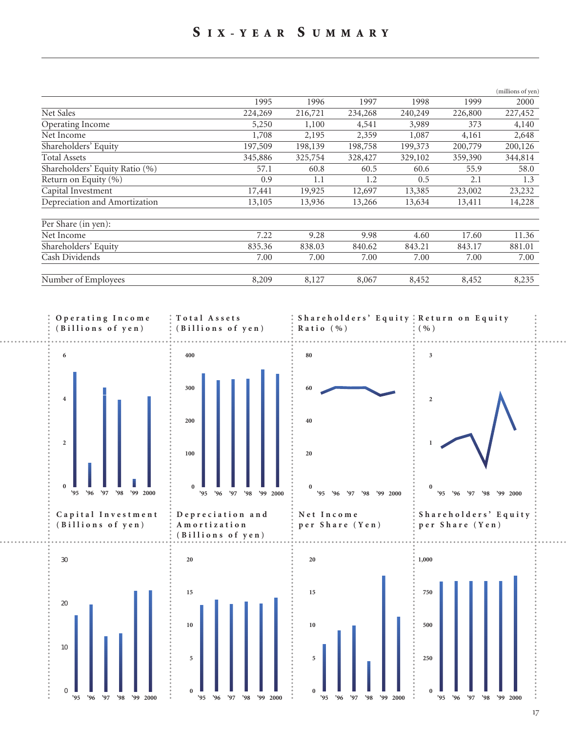## **S IX-YEAR S UMMARY**

|                                |         |         |         |         |         | (millions of yen) |
|--------------------------------|---------|---------|---------|---------|---------|-------------------|
|                                | 1995    | 1996    | 1997    | 1998    | 1999    | 2000              |
| Net Sales                      | 224,269 | 216,721 | 234,268 | 240,249 | 226,800 | 227,452           |
| Operating Income               | 5,250   | 1,100   | 4,541   | 3,989   | 373     | 4,140             |
| Net Income                     | 1,708   | 2,195   | 2,359   | 1,087   | 4,161   | 2,648             |
| Shareholders' Equity           | 197,509 | 198,139 | 198,758 | 199,373 | 200,779 | 200,126           |
| <b>Total Assets</b>            | 345,886 | 325,754 | 328,427 | 329,102 | 359,390 | 344,814           |
| Shareholders' Equity Ratio (%) | 57.1    | 60.8    | 60.5    | 60.6    | 55.9    | 58.0              |
| Return on Equity (%)           | 0.9     | 1.1     | 1.2     | 0.5     | 2.1     | 1.3               |
| Capital Investment             | 17,441  | 19,925  | 12,697  | 13,385  | 23,002  | 23,232            |
| Depreciation and Amortization  | 13,105  | 13,936  | 13,266  | 13,634  | 13,411  | 14,228            |
| Per Share (in yen):            |         |         |         |         |         |                   |
| Net Income                     | 7.22    | 9.28    | 9.98    | 4.60    | 17.60   | 11.36             |
| Shareholders' Equity           | 835.36  | 838.03  | 840.62  | 843.21  | 843.17  | 881.01            |
| Cash Dividends                 | 7.00    | 7.00    | 7.00    | 7.00    | 7.00    | 7.00              |
| Number of Employees            | 8,209   | 8,127   | 8,067   | 8,452   | 8,452   | 8,235             |

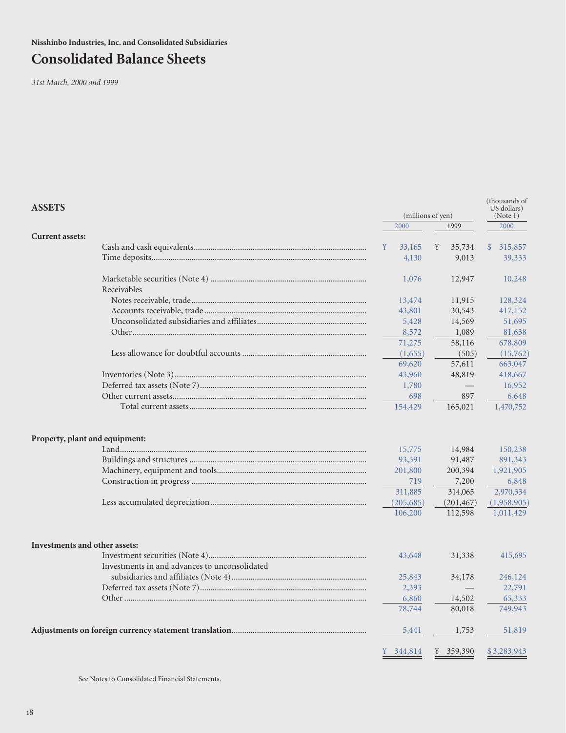**Nisshinbo Industries, Inc. and Consolidated Subsidiaries**

# **Consolidated Balance Sheets**

*31st March, 2000 and 1999*

| <b>ASSETS</b>                                 |   |            | (millions of yen) |                   |  | (thousands of<br>US dollars)<br>(Note 1) |
|-----------------------------------------------|---|------------|-------------------|-------------------|--|------------------------------------------|
|                                               |   | 2000       |                   | 1999              |  | 2000                                     |
| <b>Current assets:</b>                        |   |            |                   |                   |  |                                          |
|                                               | ¥ | 33,165     | ¥                 | 35,734            |  | \$315,857                                |
|                                               |   | 4,130      |                   | 9,013             |  | 39,333                                   |
| Receivables                                   |   | 1,076      |                   | 12,947            |  | 10,248                                   |
|                                               |   | 13,474     |                   | 11,915            |  | 128,324                                  |
|                                               |   | 43,801     |                   | 30,543            |  | 417,152                                  |
|                                               |   | 5,428      |                   | 14,569            |  | 51,695                                   |
|                                               |   | 8,572      |                   | 1,089             |  | 81,638                                   |
|                                               |   | 71,275     |                   | 58,116            |  | 678,809                                  |
|                                               |   | (1,655)    |                   | (505)             |  | (15,762)                                 |
|                                               |   | 69,620     |                   | 57,611            |  | 663,047                                  |
|                                               |   | 43,960     |                   | 48,819            |  | 418,667                                  |
|                                               |   | 1,780      |                   | $\qquad \qquad =$ |  | 16,952                                   |
|                                               |   | 698        |                   | 897               |  | 6,648                                    |
|                                               |   | 154,429    |                   | 165,021           |  | 1,470,752                                |
| Property, plant and equipment:                |   | 15,775     |                   | 14,984            |  | 150,238                                  |
|                                               |   | 93,591     |                   | 91,487            |  | 891,343                                  |
|                                               |   | 201,800    |                   | 200,394           |  | 1,921,905                                |
|                                               |   | 719        |                   | 7,200             |  | 6,848                                    |
|                                               |   | 311,885    |                   | 314,065           |  | 2,970,334                                |
|                                               |   | (205, 685) |                   | (201, 467)        |  | (1,958,905)                              |
|                                               |   | 106,200    |                   | 112,598           |  | 1,011,429                                |
| Investments and other assets:                 |   |            |                   |                   |  |                                          |
|                                               |   | 43,648     |                   | 31,338            |  | 415,695                                  |
| Investments in and advances to unconsolidated |   |            |                   |                   |  |                                          |
|                                               |   | 25,843     |                   | 34,178            |  | 246,124                                  |
|                                               |   | 2,393      |                   |                   |  | 22,791                                   |
|                                               |   | 6,860      |                   | 14,502            |  | 65,333                                   |
|                                               |   | 78,744     |                   | 80,018            |  | 749,943                                  |
|                                               |   | 5,441      |                   | 1,753             |  | 51,819                                   |
|                                               | ¥ | 344,814    |                   | ¥ 359,390         |  | \$3,283,943                              |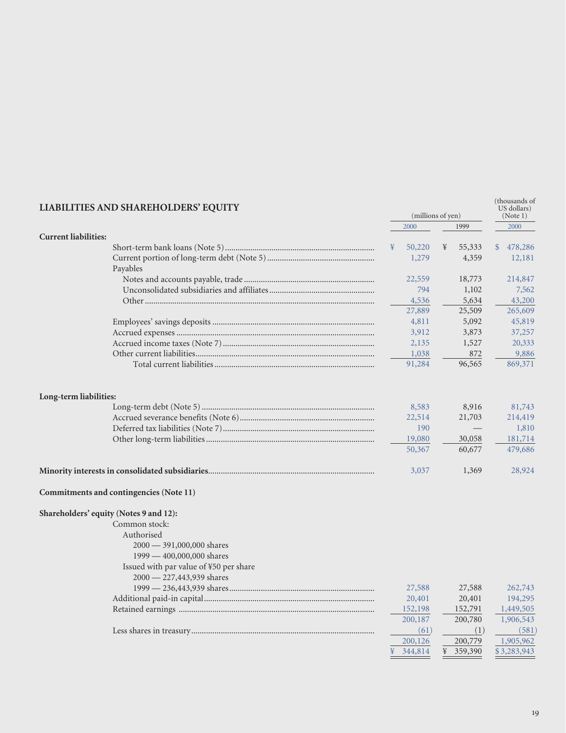| LIABILITIES AND SHAREHOLDERS' EQUITY                    |      | (millions of yen) |   |         |               | (thousands of<br>US dollars)<br>(Note 1) |
|---------------------------------------------------------|------|-------------------|---|---------|---------------|------------------------------------------|
|                                                         | 2000 |                   |   | 1999    |               | 2000                                     |
| <b>Current liabilities:</b>                             |      |                   |   |         |               |                                          |
|                                                         | ¥    | 50,220            | ¥ | 55,333  | $\mathcal{S}$ | 478,286                                  |
| Payables                                                |      | 1,279             |   | 4,359   |               | 12,181                                   |
|                                                         |      | 22,559            |   | 18,773  |               | 214,847                                  |
|                                                         |      | 794               |   | 1,102   |               | 7,562                                    |
|                                                         |      | 4,536             |   | 5,634   |               | 43,200                                   |
|                                                         |      | 27,889            |   | 25,509  |               | 265,609                                  |
|                                                         |      | 4,811             |   | 5,092   |               | 45,819                                   |
|                                                         |      | 3,912             |   | 3,873   |               | 37,257                                   |
|                                                         |      | 2,135             |   | 1,527   |               | 20,333                                   |
|                                                         |      | 1,038             |   | 872     |               | 9,886                                    |
|                                                         |      | 91,284            |   | 96,565  |               | 869,371                                  |
| Long-term liabilities:                                  |      |                   |   |         |               |                                          |
|                                                         |      | 8,583             |   | 8,916   |               | 81,743                                   |
|                                                         |      | 22,514            |   | 21,703  |               | 214,419                                  |
|                                                         |      | 190               |   |         |               | 1,810                                    |
|                                                         |      | 19,080            |   | 30,058  |               | 181,714                                  |
|                                                         |      | 50,367            |   | 60,677  |               | 479,686                                  |
|                                                         |      | 3,037             |   | 1,369   |               | 28,924                                   |
| Commitments and contingencies (Note 11)                 |      |                   |   |         |               |                                          |
| Shareholders' equity (Notes 9 and 12):<br>Common stock: |      |                   |   |         |               |                                          |
| Authorised                                              |      |                   |   |         |               |                                          |
| 2000 - 391,000,000 shares                               |      |                   |   |         |               |                                          |
| 1999 - 400,000,000 shares                               |      |                   |   |         |               |                                          |
| Issued with par value of ¥50 per share                  |      |                   |   |         |               |                                          |
| 2000 - 227,443,939 shares                               |      |                   |   |         |               |                                          |
|                                                         |      | 27,588            |   | 27,588  |               | 262,743                                  |
|                                                         |      | 20,401            |   | 20,401  |               | 194,295                                  |
|                                                         |      | 152,198           |   | 152,791 |               | 1,449,505                                |
|                                                         |      | 200,187           |   | 200,780 |               | 1,906,543                                |
|                                                         |      | (61)              |   | (1)     |               | (581)                                    |
|                                                         |      | 200,126           |   | 200,779 |               | 1,905,962                                |
|                                                         | ¥    | 344,814           | ¥ | 359,390 |               | \$3,283,943                              |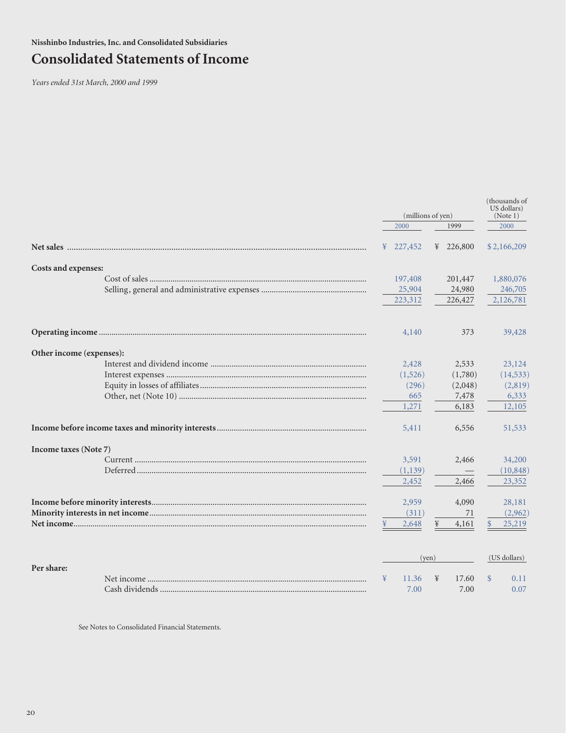# **Consolidated Statements of Income**

*Years ended 31st March, 2000 and 1999*

|                          |   | (millions of yen)     |   |           |              | (thousands of<br>US dollars)<br>(Note 1) |  |      |  |
|--------------------------|---|-----------------------|---|-----------|--------------|------------------------------------------|--|------|--|
|                          |   | 1999<br>2000          |   |           |              |                                          |  | 2000 |  |
|                          |   | $\frac{1}{2}$ 227,452 |   | ¥ 226,800 |              | \$2,166,209                              |  |      |  |
| Costs and expenses:      |   |                       |   |           |              |                                          |  |      |  |
|                          |   | 197,408               |   | 201,447   |              | 1,880,076                                |  |      |  |
|                          |   | 25,904                |   | 24,980    |              | 246,705                                  |  |      |  |
|                          |   | 223,312               |   | 226,427   |              | 2,126,781                                |  |      |  |
|                          |   | 4,140                 |   | 373       |              | 39,428                                   |  |      |  |
| Other income (expenses): |   |                       |   |           |              |                                          |  |      |  |
|                          |   | 2,428                 |   | 2,533     |              | 23,124                                   |  |      |  |
|                          |   | (1,526)               |   | (1,780)   |              | (14, 533)                                |  |      |  |
|                          |   | (296)                 |   | (2,048)   |              | (2,819)                                  |  |      |  |
|                          |   | 665                   |   | 7,478     |              | 6,333                                    |  |      |  |
|                          |   | 1,271                 |   | 6,183     |              | 12,105                                   |  |      |  |
|                          |   | 5,411                 |   | 6,556     |              | 51,533                                   |  |      |  |
| Income taxes (Note 7)    |   |                       |   |           |              |                                          |  |      |  |
|                          |   | 3,591                 |   | 2,466     |              | 34,200                                   |  |      |  |
|                          |   | (1,139)               |   |           |              | (10, 848)                                |  |      |  |
|                          |   | 2,452                 |   | 2,466     |              | 23,352                                   |  |      |  |
|                          |   | 2,959                 |   | 4,090     |              | 28,181                                   |  |      |  |
|                          |   | (311)                 |   | 71        |              | (2,962)                                  |  |      |  |
|                          |   | 2,648                 | ¥ | 4,161     | $\mathbb{S}$ | 25,219                                   |  |      |  |
|                          |   | (yen)                 |   |           |              | (US dollars)                             |  |      |  |
| Per share:               |   |                       |   |           |              |                                          |  |      |  |
|                          | ¥ | 11.36                 | ¥ | 17.60     |              | 0.11                                     |  |      |  |
|                          |   | 7.00                  |   | 7.00      |              | 0.07                                     |  |      |  |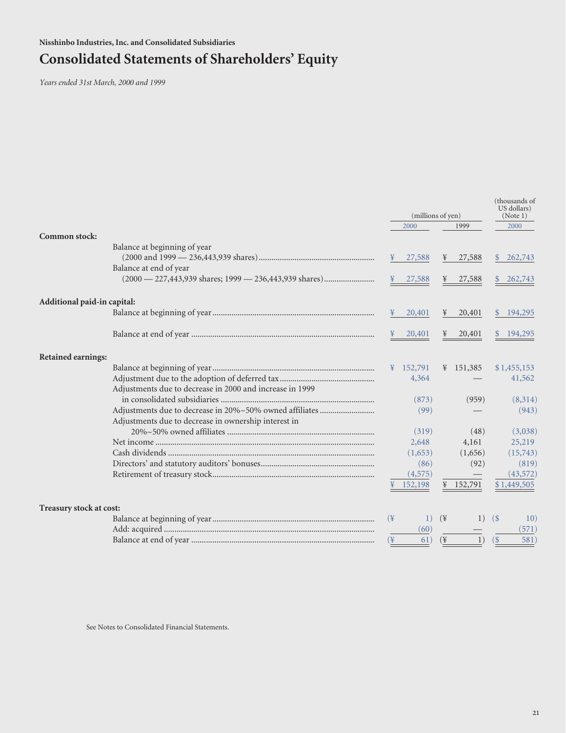# **Consolidated Statements of Shareholders' Equity**

*Years ended 31st March, 2000 and 1999*

|                             |                                                                           | (millions of yen) |                     |                 | (thousands of |                              |             |
|-----------------------------|---------------------------------------------------------------------------|-------------------|---------------------|-----------------|---------------|------------------------------|-------------|
|                             |                                                                           |                   | 2000                |                 | 1999          |                              | 2000        |
| Common stock:               |                                                                           |                   |                     |                 |               |                              |             |
|                             | Balance at beginning of year                                              |                   |                     |                 |               |                              |             |
|                             |                                                                           |                   | 27,588              | ¥               | 27,588        | <sup>\$</sup>                | 262,743     |
|                             | Balance at end of year                                                    |                   |                     |                 |               |                              |             |
|                             | $(2000 - 227,443,939 \text{ shares}; 1999 - 236,443,939 \text{ shares}).$ |                   | ¥ 27,588            | ¥               | 27,588        | $\mathcal{S}$                | 262,743     |
| Additional paid-in capital: |                                                                           |                   |                     |                 |               |                              |             |
|                             |                                                                           | $\frac{1}{2}$     | 20,401              | ¥               | 20,401        |                              | \$194,295   |
|                             |                                                                           |                   | ¥ $20,401$          | ¥               | 20,401        |                              | 194,295     |
| <b>Retained earnings:</b>   |                                                                           |                   |                     |                 |               |                              |             |
|                             |                                                                           |                   | $\frac{152,791}{2}$ |                 | ¥ 151,385     |                              | \$1,455,153 |
|                             |                                                                           |                   | 4,364               |                 |               |                              | 41,562      |
|                             | Adjustments due to decrease in 2000 and increase in 1999                  |                   |                     |                 |               |                              |             |
|                             |                                                                           |                   | (873)               |                 | (959)         |                              | (8,314)     |
|                             |                                                                           |                   | (99)                |                 |               |                              | (943)       |
|                             | Adjustments due to decrease in ownership interest in                      |                   |                     |                 |               |                              |             |
|                             |                                                                           |                   | (319)               |                 | (48)          |                              | (3,038)     |
|                             |                                                                           |                   | 2,648               |                 | 4,161         |                              | 25,219      |
|                             |                                                                           |                   | (1,653)             |                 | (1,656)       |                              | (15,743)    |
|                             |                                                                           |                   | (86)                |                 | (92)          |                              | (819)       |
|                             |                                                                           |                   | (4, 575)            |                 |               |                              | (43, 572)   |
|                             |                                                                           |                   | 152,198             |                 | ¥ 152,791     |                              | \$1,449,505 |
| Treasury stock at cost:     |                                                                           |                   |                     |                 |               |                              |             |
|                             |                                                                           | $(\frac{1}{2})$   | 1)                  | $(\frac{1}{2})$ | 1)            | (S)                          | 10)         |
|                             |                                                                           |                   | (60)                |                 |               |                              | (571)       |
|                             |                                                                           | (¥                | 61)                 | $(\frac{1}{2})$ | 1)            | $\left( \frac{6}{5} \right)$ | 581)        |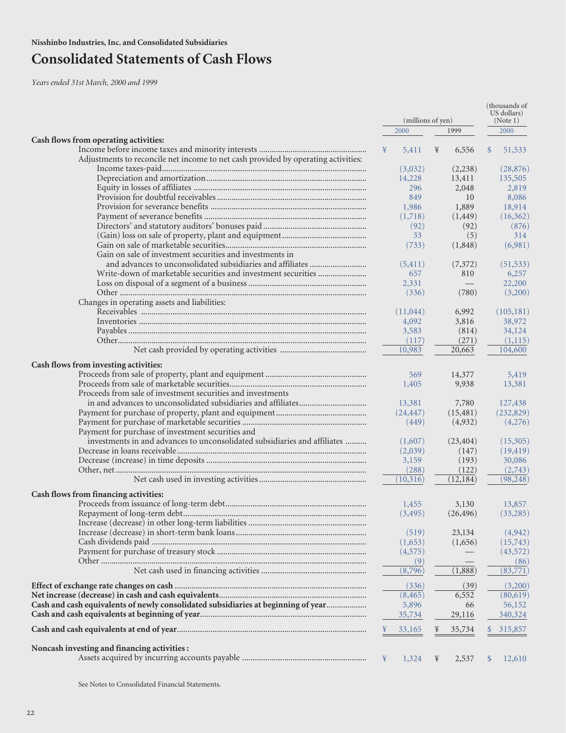# **Consolidated Statements of Cash Flows**

*Years ended 31st March, 2000 and 1999*

|                                                                                   |   |                   |   | (thousands of<br>US dollars) |               |                  |
|-----------------------------------------------------------------------------------|---|-------------------|---|------------------------------|---------------|------------------|
|                                                                                   |   | (millions of yen) |   |                              |               | (Note 1)         |
|                                                                                   |   | 2000              |   | 1999                         |               | 2000             |
| Cash flows from operating activities:                                             |   |                   |   |                              |               |                  |
|                                                                                   | ¥ | 5,411             | ¥ | 6,556                        | $\mathcal{S}$ | 51,533           |
| Adjustments to reconcile net income to net cash provided by operating activities: |   |                   |   |                              |               |                  |
|                                                                                   |   | (3,032)           |   | (2,238)                      |               | (28, 876)        |
|                                                                                   |   | 14,228<br>296     |   | 13,411<br>2,048              |               | 135,505<br>2,819 |
|                                                                                   |   | 849               |   | 10                           |               | 8,086            |
|                                                                                   |   |                   |   |                              |               |                  |
|                                                                                   |   | 1,986             |   | 1,889                        |               | 18,914           |
|                                                                                   |   | (1,718)           |   | (1, 449)                     |               | (16,362)         |
|                                                                                   |   | (92)              |   | (92)                         |               | (876)            |
|                                                                                   |   | 33                |   | (5)                          |               | 314              |
|                                                                                   |   | (733)             |   | (1,848)                      |               | (6,981)          |
| Gain on sale of investment securities and investments in                          |   |                   |   |                              |               |                  |
|                                                                                   |   | (5, 411)          |   | (7,372)                      |               | (51, 533)        |
|                                                                                   |   | 657               |   | 810                          |               | 6,257            |
|                                                                                   |   | 2,331             |   |                              |               | 22,200           |
|                                                                                   |   | (336)             |   | (780)                        |               | (3,200)          |
| Changes in operating assets and liabilities:                                      |   |                   |   |                              |               |                  |
|                                                                                   |   | (11,044)          |   | 6,992                        |               | (105, 181)       |
|                                                                                   |   | 4,092             |   | 3,816                        |               | 38,972           |
|                                                                                   |   | 3,583             |   | (814)                        |               | 34,124           |
|                                                                                   |   | (117)             |   | (271)                        |               | (1,115)          |
|                                                                                   |   | 10,983            |   | 20,663                       |               | 104,600          |
| Cash flows from investing activities:                                             |   |                   |   |                              |               |                  |
|                                                                                   |   | 569               |   |                              |               |                  |
|                                                                                   |   |                   |   | 14,377                       |               | 5,419            |
|                                                                                   |   | 1,405             |   | 9,938                        |               | 13,381           |
| Proceeds from sale of investment securities and investments                       |   |                   |   |                              |               |                  |
|                                                                                   |   | 13,381            |   | 7,780                        |               | 127,438          |
|                                                                                   |   | (24, 447)         |   | (15, 481)                    |               | (232, 829)       |
|                                                                                   |   | (449)             |   | (4,932)                      |               | (4,276)          |
| Payment for purchase of investment securities and                                 |   |                   |   |                              |               |                  |
| investments in and advances to unconsolidated subsidiaries and affiliates         |   | (1,607)           |   | (23, 404)                    |               | (15,305)         |
|                                                                                   |   | (2,039)           |   | (147)                        |               | (19, 419)        |
|                                                                                   |   | 3,159             |   | (193)                        |               | 30,086           |
|                                                                                   |   | (288)             |   | (122)                        |               | (2,743)          |
|                                                                                   |   | (10, 316)         |   | (12, 184)                    |               | (98, 248)        |
| Cash flows from financing activities:                                             |   |                   |   |                              |               |                  |
|                                                                                   |   | 1,455             |   | 3,130                        |               | 13,857           |
|                                                                                   |   | (3, 495)          |   | (26, 496)                    |               | (33, 285)        |
|                                                                                   |   |                   |   |                              |               |                  |
|                                                                                   |   | (519)             |   | 23,134                       |               | (4, 942)         |
|                                                                                   |   |                   |   |                              |               |                  |
|                                                                                   |   | (1,653)           |   | (1,656)                      |               | (15,743)         |
|                                                                                   |   | (4, 575)          |   |                              |               | (43, 572)        |
|                                                                                   |   | (9)               |   |                              |               | (86)             |
|                                                                                   |   | (8,796)           |   | (1,888)                      |               | (83,771)         |
|                                                                                   |   | (336)             |   | (39)                         |               | (3,200)          |
|                                                                                   |   | (8, 465)          |   | 6,552                        |               | (80,619)         |
| Cash and cash equivalents of newly consolidated subsidiaries at beginning of year |   | 5,896             |   | 66                           |               | 56,152           |
|                                                                                   |   | 35,734            |   | 29,116                       |               | 340,324          |
|                                                                                   |   | 33,165            |   | 35,734                       |               | 315,857          |
|                                                                                   |   |                   |   |                              |               |                  |
| Noncash investing and financing activities :                                      |   |                   |   |                              |               |                  |
|                                                                                   | ¥ | 1,324             | ¥ | 2,537                        | $\mathbb{S}$  | 12,610           |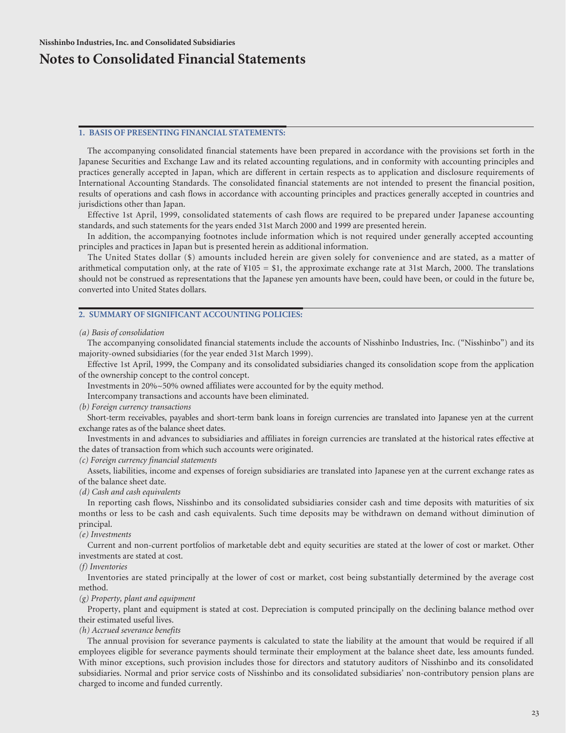## **Notes to Consolidated Financial Statements**

## **1. BASIS OF PRESENTING FINANCIAL STATEMENTS:**

The accompanying consolidated financial statements have been prepared in accordance with the provisions set forth in the Japanese Securities and Exchange Law and its related accounting regulations, and in conformity with accounting principles and practices generally accepted in Japan, which are different in certain respects as to application and disclosure requirements of International Accounting Standards. The consolidated financial statements are not intended to present the financial position, results of operations and cash flows in accordance with accounting principles and practices generally accepted in countries and jurisdictions other than Japan.

Effective 1st April, 1999, consolidated statements of cash flows are required to be prepared under Japanese accounting standards, and such statements for the years ended 31st March 2000 and 1999 are presented herein.

In addition, the accompanying footnotes include information which is not required under generally accepted accounting principles and practices in Japan but is presented herein as additional information.

The United States dollar (\$) amounts included herein are given solely for convenience and are stated, as a matter of arithmetical computation only, at the rate of  $\frac{1}{2}105 = \frac{1}{5}1$ , the approximate exchange rate at 31st March, 2000. The translations should not be construed as representations that the Japanese yen amounts have been, could have been, or could in the future be, converted into United States dollars.

## **2. SUMMARY OF SIGNIFICANT ACCOUNTING POLICIES:**

#### *(a) Basis of consolidation*

The accompanying consolidated financial statements include the accounts of Nisshinbo Industries, Inc. ("Nisshinbo") and its majority-owned subsidiaries (for the year ended 31st March 1999).

Effective 1st April, 1999, the Company and its consolidated subsidiaries changed its consolidation scope from the application of the ownership concept to the control concept.

Investments in 20%~50% owned affiliates were accounted for by the equity method.

Intercompany transactions and accounts have been eliminated.

#### *(b) Foreign currency transactions*

Short-term receivables, payables and short-term bank loans in foreign currencies are translated into Japanese yen at the current exchange rates as of the balance sheet dates.

Investments in and advances to subsidiaries and affiliates in foreign currencies are translated at the historical rates effective at the dates of transaction from which such accounts were originated.

#### *(c) Foreign currency financial statements*

Assets, liabilities, income and expenses of foreign subsidiaries are translated into Japanese yen at the current exchange rates as of the balance sheet date.

*(d) Cash and cash equivalents*

In reporting cash flows, Nisshinbo and its consolidated subsidiaries consider cash and time deposits with maturities of six months or less to be cash and cash equivalents. Such time deposits may be withdrawn on demand without diminution of principal.

#### *(e) Investments*

Current and non-current portfolios of marketable debt and equity securities are stated at the lower of cost or market. Other investments are stated at cost.

#### *(f) Inventories*

Inventories are stated principally at the lower of cost or market, cost being substantially determined by the average cost method.

#### *(g) Property, plant and equipment*

Property, plant and equipment is stated at cost. Depreciation is computed principally on the declining balance method over their estimated useful lives.

*(h) Accrued severance benefits*

The annual provision for severance payments is calculated to state the liability at the amount that would be required if all employees eligible for severance payments should terminate their employment at the balance sheet date, less amounts funded. With minor exceptions, such provision includes those for directors and statutory auditors of Nisshinbo and its consolidated subsidiaries. Normal and prior service costs of Nisshinbo and its consolidated subsidiaries' non-contributory pension plans are charged to income and funded currently.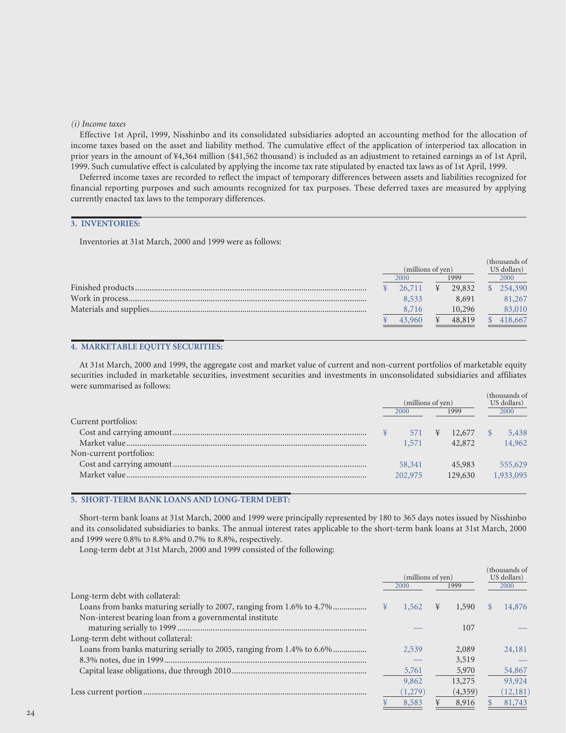#### *(i) Income taxes*

Effective 1st April, 1999, Nisshinbo and its consolidated subsidiaries adopted an accounting method for the allocation of income taxes based on the asset and liability method. The cumulative effect of the application of interperiod tax allocation in prior years in the amount of ¥4,364 million (\$41,562 thousand) is included as an adjustment to retained earnings as of 1st April, 1999. Such cumulative effect is calculated by applying the income tax rate stipulated by enacted tax laws as of 1st April, 1999.

Deferred income taxes are recorded to reflect the impact of temporary differences between assets and liabilities recognized for financial reporting purposes and such amounts recognized for tax purposes. These deferred taxes are measured by applying currently enacted tax laws to the temporary differences.

## **3. INVENTORIES:**

Inventories at 31st March, 2000 and 1999 were as follows:

| (millions of yen) |        |   |        | (thousands of<br>US dollars) |         |  |  |
|-------------------|--------|---|--------|------------------------------|---------|--|--|
|                   | 2000   |   | 1999   |                              | 2000    |  |  |
|                   | 26,711 | ¥ | 29,832 |                              | 254,390 |  |  |
|                   | 8.533  |   | 8.691  |                              | 81,267  |  |  |
|                   | 8,716  |   | 10,296 |                              | 83,010  |  |  |
|                   | 43,960 |   | 48,819 |                              | 418,667 |  |  |

## **4. MARKETABLE EQUITY SECURITIES:**

At 31st March, 2000 and 1999, the aggregate cost and market value of current and non-current portfolios of marketable equity securities included in marketable securities, investment securities and investments in unconsolidated subsidiaries and affiliates were summarised as follows:

|                         |              | (millions of yen) |   |             |      | (thousands of<br>US dollars) |
|-------------------------|--------------|-------------------|---|-------------|------|------------------------------|
|                         | 1999<br>2000 |                   |   |             | 2000 |                              |
| Current portfolios:     |              |                   |   |             |      |                              |
|                         |              | 571               | ¥ | $12,677$ \$ |      | 5,438                        |
|                         |              | 1,571             |   | 42,872      |      | 14,962                       |
| Non-current portfolios: |              |                   |   |             |      |                              |
|                         |              | 58,341            |   | 45,983      |      | 555,629                      |
| Market value            |              | 202,975           |   | 129,630     |      | 1,933,095                    |
|                         |              |                   |   |             |      |                              |

#### **5. SHORT-TERM BANK LOANS AND LONG-TERM DEBT:**

Short-term bank loans at 31st March, 2000 and 1999 were principally represented by 180 to 365 days notes issued by Nisshinbo and its consolidated subsidiaries to banks. The annual interest rates applicable to the short-term bank loans at 31st March, 2000 and 1999 were 0.8% to 8.8% and 0.7% to 8.8%, respectively.

Long-term debt at 31st March, 2000 and 1999 consisted of the following:

|                                                                       | (millions of yen) |         |   | (thousands of<br>US dollars) |          |           |
|-----------------------------------------------------------------------|-------------------|---------|---|------------------------------|----------|-----------|
|                                                                       |                   | 2000    |   | 1999                         |          | 2000      |
| Long-term debt with collateral:                                       |                   |         |   |                              |          |           |
| Loans from banks maturing serially to 2007, ranging from 1.6% to 4.7% | ¥                 | 1,562   | ¥ | 1,590                        | <b>S</b> | 14,876    |
| Non-interest bearing loan from a governmental institute               |                   |         |   |                              |          |           |
|                                                                       |                   |         |   | 107                          |          |           |
| Long-term debt without collateral:                                    |                   |         |   |                              |          |           |
| Loans from banks maturing serially to 2005, ranging from 1.4% to 6.6% |                   | 2.539   |   | 2,089                        |          | 24,181    |
|                                                                       |                   |         |   | 3,519                        |          |           |
|                                                                       |                   | 5,761   |   | 5,970                        |          | 54,867    |
|                                                                       |                   | 9,862   |   | 13,275                       |          | 93,924    |
|                                                                       |                   | (1,279) |   | (4,359)                      |          | (12, 181) |
|                                                                       |                   | 8.583   |   | 8.916                        |          | 81,743    |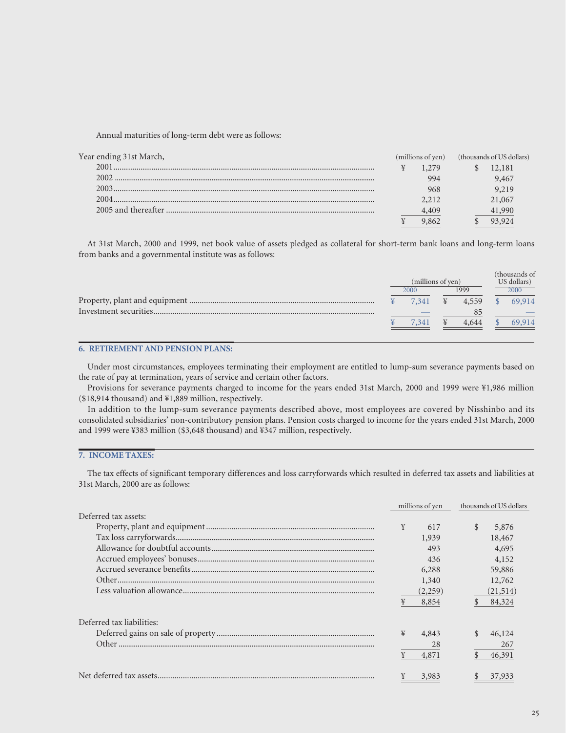Annual maturities of long-term debt were as follows:

| 12,181 |
|--------|
| 9,467  |
| 9.219  |
| 21,067 |
| 41.990 |
|        |
|        |

At 31st March, 2000 and 1999, net book value of assets pledged as collateral for short-term bank loans and long-term loans from banks and a governmental institute was as follows:

|  | (millions of yen) |       | (thousands of<br>US dollars) |
|--|-------------------|-------|------------------------------|
|  | 2000              | 1999  | 2000                         |
|  | 7.341             | 4.559 | 69,914                       |
|  |                   |       |                              |
|  | $-54$             | 4.644 | 69.914                       |

## **6. RETIREMENT AND PENSION PLANS:**

Under most circumstances, employees terminating their employment are entitled to lump-sum severance payments based on the rate of pay at termination, years of service and certain other factors.

Provisions for severance payments charged to income for the years ended 31st March, 2000 and 1999 were ¥1,986 million (\$18,914 thousand) and ¥1,889 million, respectively.

In addition to the lump-sum severance payments described above, most employees are covered by Nisshinbo and its consolidated subsidiaries' non-contributory pension plans. Pension costs charged to income for the years ended 31st March, 2000 and 1999 were ¥383 million (\$3,648 thousand) and ¥347 million, respectively.

## **7. INCOME TAXES:**

The tax effects of significant temporary differences and loss carryforwards which resulted in deferred tax assets and liabilities at 31st March, 2000 are as follows:

|                           | millions of yen | thousands of US dollars |  |
|---------------------------|-----------------|-------------------------|--|
| Deferred tax assets:      |                 |                         |  |
|                           | ¥<br>617        | \$<br>5,876             |  |
|                           | 1,939           | 18,467                  |  |
|                           | 493             | 4,695                   |  |
|                           | 436             | 4,152                   |  |
|                           | 6,288           | 59,886                  |  |
|                           | 1,340           | 12,762                  |  |
|                           | (2,259)         | (21,514)                |  |
|                           | ¥<br>8,854      | 84,324                  |  |
| Deferred tax liabilities: |                 |                         |  |
|                           | ¥<br>4,843      | 46,124                  |  |
|                           | 28              | 267                     |  |
|                           | ¥<br>4,871      | 46,391                  |  |
|                           | 3,983           | 37,933                  |  |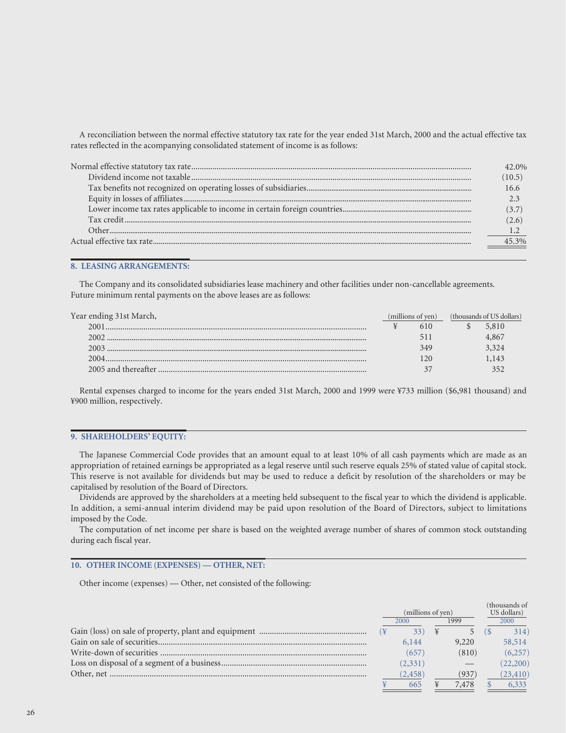A reconciliation between the normal effective statutory tax rate for the year ended 31st March, 2000 and the actual effective tax rates reflected in the acompanying consolidated statement of income is as follows:

| $.0\%$ |
|--------|
|        |
|        |
|        |
| (3.7)  |
|        |
|        |
|        |

#### **8. LEASING ARRANGEMENTS:**

The Company and its consolidated subsidiaries lease machinery and other facilities under non-cancellable agreements. Future minimum rental payments on the above leases are as follows:

| Year ending 31st March, | (millions of ven) |     | (thousands of US dollars) |       |  |
|-------------------------|-------------------|-----|---------------------------|-------|--|
| 2001                    |                   | 610 |                           | 5,810 |  |
| 2002                    |                   |     |                           | 4.867 |  |
| 2003                    |                   | 349 |                           | 3.324 |  |
|                         |                   |     |                           | l.143 |  |
|                         |                   |     |                           |       |  |

Rental expenses charged to income for the years ended 31st March, 2000 and 1999 were ¥733 million (\$6,981 thousand) and ¥900 million, respectively.

### **9. SHAREHOLDERS' EQUITY:**

The Japanese Commercial Code provides that an amount equal to at least 10% of all cash payments which are made as an appropriation of retained earnings be appropriated as a legal reserve until such reserve equals 25% of stated value of capital stock. This reserve is not available for dividends but may be used to reduce a deficit by resolution of the shareholders or may be capitalised by resolution of the Board of Directors.

Dividends are approved by the shareholders at a meeting held subsequent to the fiscal year to which the dividend is applicable. In addition, a semi-annual interim dividend may be paid upon resolution of the Board of Directors, subject to limitations imposed by the Code.

The computation of net income per share is based on the weighted average number of shares of common stock outstanding during each fiscal year.

## **10. OTHER INCOME (EXPENSES) — OTHER, NET:**

Other income (expenses) — Other, net consisted of the following:

|                   |          |  |             |  | (thousands of |
|-------------------|----------|--|-------------|--|---------------|
| (millions of yen) |          |  | US dollars) |  |               |
| 1999<br>2000      |          |  | 2000        |  |               |
|                   |          |  |             |  | 314)          |
|                   | 6,144    |  | 9,220       |  | 58,514        |
|                   | (657)    |  | (810)       |  | (6, 257)      |
|                   | (2, 331) |  |             |  | (22,200)      |
|                   | (2, 458) |  | (937)       |  | (23, 410)     |
|                   | 665      |  | 7,478       |  | 6,333         |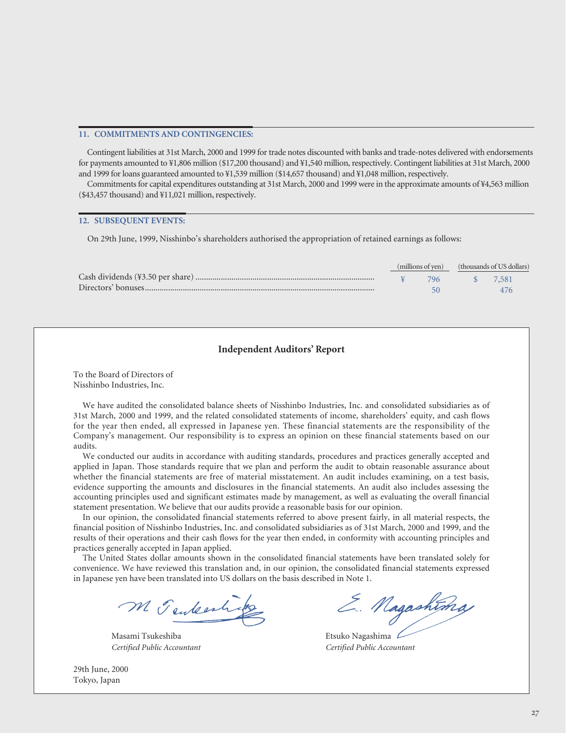#### **11. COMMITMENTS AND CONTINGENCIES:**

Contingent liabilities at 31st March, 2000 and 1999 for trade notes discounted with banks and trade-notes delivered with endorsements for payments amounted to ¥1,806 million (\$17,200 thousand) and ¥1,540 million, respectively. Contingent liabilities at 31st March, 2000 and 1999 for loans guaranteed amounted to ¥1,539 million (\$14,657 thousand) and ¥1,048 million, respectively.

Commitments for capital expenditures outstanding at 31st March, 2000 and 1999 were in the approximate amounts of ¥4,563 million (\$43,457 thousand) and ¥11,021 million, respectively.

#### **12. SUBSEQUENT EVENTS:**

On 29th June, 1999, Nisshinbo's shareholders authorised the appropriation of retained earnings as follows:

|  |  | (millions of yen) (thousands of US dollars) |  |  |
|--|--|---------------------------------------------|--|--|
|  |  | 796 \$ 7.581                                |  |  |
|  |  |                                             |  |  |

## **Independent Auditors' Report**

To the Board of Directors of Nisshinbo Industries, Inc.

We have audited the consolidated balance sheets of Nisshinbo Industries, Inc. and consolidated subsidiaries as of 31st March, 2000 and 1999, and the related consolidated statements of income, shareholders' equity, and cash flows for the year then ended, all expressed in Japanese yen. These financial statements are the responsibility of the Company's management. Our responsibility is to express an opinion on these financial statements based on our audits.

We conducted our audits in accordance with auditing standards, procedures and practices generally accepted and applied in Japan. Those standards require that we plan and perform the audit to obtain reasonable assurance about whether the financial statements are free of material misstatement. An audit includes examining, on a test basis, evidence supporting the amounts and disclosures in the financial statements. An audit also includes assessing the accounting principles used and significant estimates made by management, as well as evaluating the overall financial statement presentation. We believe that our audits provide a reasonable basis for our opinion.

In our opinion, the consolidated financial statements referred to above present fairly, in all material respects, the financial position of Nisshinbo Industries, Inc. and consolidated subsidiaries as of 31st March, 2000 and 1999, and the results of their operations and their cash flows for the year then ended, in conformity with accounting principles and practices generally accepted in Japan applied.

The United States dollar amounts shown in the consolidated financial statements have been translated solely for convenience. We have reviewed this translation and, in our opinion, the consolidated financial statements expressed in Japanese yen have been translated into US dollars on the basis described in Note 1.

M Tenteestrip

Masami Tsukeshiba **Etsuko Nagashima** C

29th June, 2000 Tokyo, Japan

E. Nagashtma

*Certified Public Accountant Certified Public Accountant*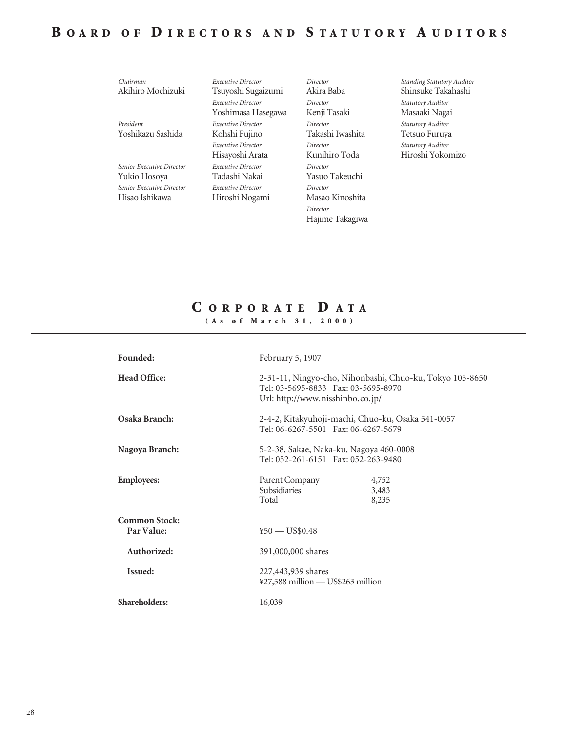| Chairman                  | Executive Director        | Director         |
|---------------------------|---------------------------|------------------|
| Akihiro Mochizuki         | Tsuyoshi Sugaizumi        | Akira Baba       |
|                           | Executive Director        | Director         |
|                           | Yoshimasa Hasegawa        | Kenji Tasaki     |
| President                 | Executive Director        | Director         |
| Yoshikazu Sashida         | Kohshi Fujino             | Takashi Iwashita |
|                           | Executive Director        | Director         |
|                           | Hisayoshi Arata           | Kunihiro Toda    |
| Senior Executive Director | Executive Director        | Director         |
| Yukio Hosoya              | Tadashi Nakai             | Yasuo Takeuchi   |
| Senior Executive Director | <b>Executive Director</b> | Director         |
| Hisao Ishikawa            | Hiroshi Nogami            | Masao Kinoshita  |
|                           |                           | Director         |
|                           |                           | Hajime Takagiwa  |

*Standing Statutory Auditor* Shinsuke Takahashi *Statutory Auditor* Masaaki Nagai *Statutory Auditor* Tetsuo Furuya *Statutory Auditor* Hiroshi Yokomizo

## **C ORPORATE D ATA (As of March 31, 2000)**

| Founded:                           | February 5, 1907                                                                                                                    |
|------------------------------------|-------------------------------------------------------------------------------------------------------------------------------------|
| <b>Head Office:</b>                | 2-31-11, Ningyo-cho, Nihonbashi, Chuo-ku, Tokyo 103-8650<br>Tel: 03-5695-8833 Fax: 03-5695-8970<br>Url: http://www.nisshinbo.co.jp/ |
| Osaka Branch:                      | 2-4-2, Kitakyuhoji-machi, Chuo-ku, Osaka 541-0057<br>Tel: 06-6267-5501 Fax: 06-6267-5679                                            |
| Nagoya Branch:                     | 5-2-38, Sakae, Naka-ku, Nagoya 460-0008<br>Tel: 052-261-6151  Fax: 052-263-9480                                                     |
| <b>Employees:</b>                  | Parent Company<br>4,752<br>Subsidiaries<br>3,483<br>Total<br>8,235                                                                  |
| <b>Common Stock:</b><br>Par Value: | $450 - US$0.48$                                                                                                                     |
| Authorized:                        | 391,000,000 shares                                                                                                                  |
| Issued:                            | 227,443,939 shares<br>¥27,588 million — US\$263 million                                                                             |
| <b>Shareholders:</b>               | 16,039                                                                                                                              |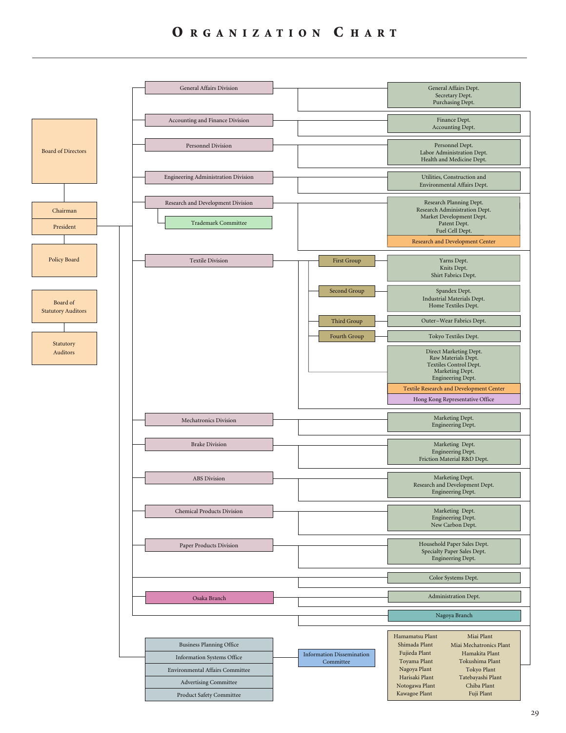## **O RGANIZATION C HART**